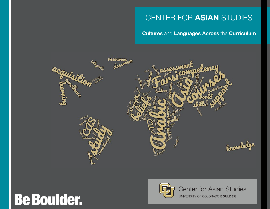## CENTER FOR **ASIAN** STUDIES

### **Cultures** and **Languages Across** the **Curriculum**



# **Be Boulder.**



**Center for Asian Studies** UNIVERSITY OF COLORADO BOULDER